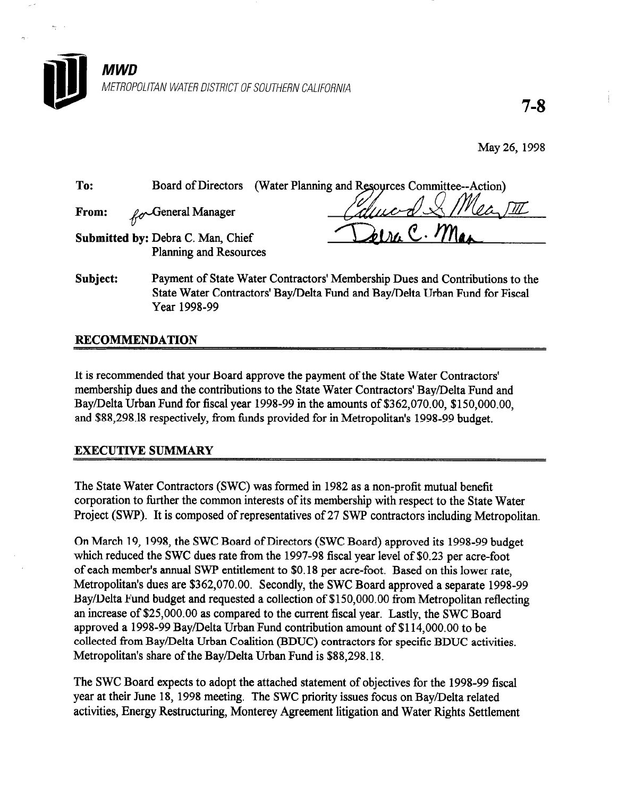

7-8

May 26, 1998

To: Board of Directors (Water Planning and Resources Committee--Action)

From: /+-General Manager

eira C. Max

- Submitted by: Debra C. Man, Chief Planning and Resources
- Subject: Payment of State Water Contractors' Membership Dues and Contributions to the State Water Contractors' Bay/Delta Fund and Bay/Delta Urban Fund for Fiscal Year 1998-99

## RECOMMENDATION

It is recommended that your Board approve the payment of the State Water Contractors' membership dues and the contributions to the State Water Contractors' Bay/Delta Fund and Bay/Delta Urban Fund for fiscal year 1998-99 in the amounts of \$362,070.00, \$150,000.00, and \$88,298.18 respectively, from funds provided for in Metropolitan's 1998-99 budget.

## EXECUTIVE SUMMARY

The State Water Contractors (SWC) was formed in 1982 as a non-profit mutual benefit corporation to further the common interests of its membership with respect to the State Water Project (SWP). It is composed of representatives of 27 SWP contractors including Metropolitan.

On March 19, 1998, the SWC Board of Directors (SWC Board) approved its 1998-99 budget which reduced the SWC dues rate from the 1997-98 fiscal year level of \$0.23 per acre-foot of each member's annual SWP entitlement to \$0.18 per acre-foot. Based on this lower rate, Metropolitan's dues are \$362,070.00. Secondly, the SWC Board approved a separate 1998-99 Bay/Delta Fund budget and requested a collection of \$150,000.00 from Metropolitan reflecting an increase of \$25,000.00 as compared to the current fiscal year. Lastly, the SWC Board approved a 1998-99 Bay/Delta Urban Fund contribution amount of \$114,000.00 to be collected from Bay/Delta Urban Coalition (BDUC) contractors for specific BDUC activities. Metropolitan's share of the Bay/Delta Urban Fund is \$88,298.18.

The SWC Board expects to adopt the attached statement of objectives for the 1998-99 fiscal year at their June 18, 1998 meeting. The SWC priority issues focus on Bay/Delta related activities, Energy Restructuring, Monterey Agreement litigation and Water Rights Settlement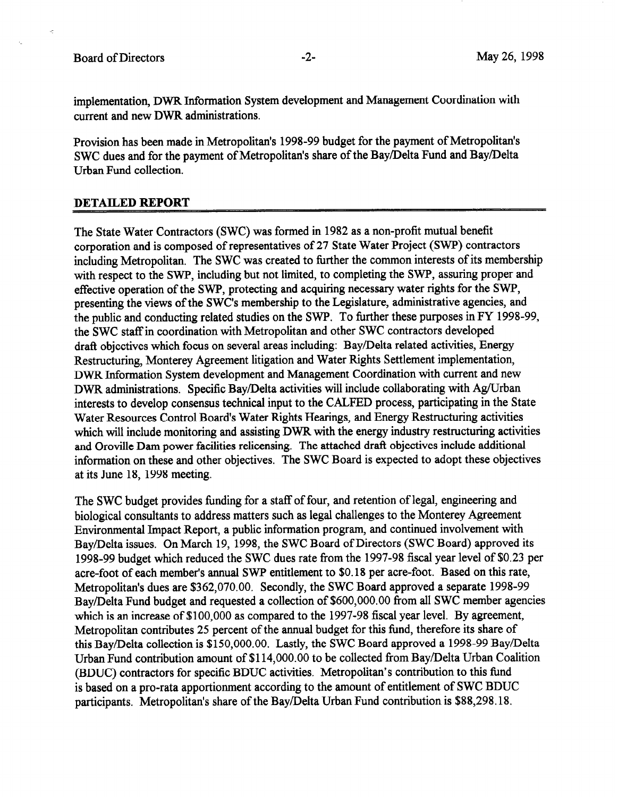implementation, DWR Information System development and Management Coordination with current and new DWR administrations.

Provision has been made in Metropolitan's 1998-99 budget for the payment of Metropolitan's SWC dues and for the payment of Metropolitan's share of the Bay/Delta Fund and Bay/Delta Urban Fund collection.

#### DETAILED REPORT

The State Water Contractors (SWC) was formed in 1982 as a non-profit mutual benefit corporation and is composed of representatives of 27 State Water Project (SWP) contractors including Metropolitan. The SWC was created to further the common interests of its membership with respect to the SWP, including but not limited, to completing the SWP, assuring proper and effective operation of the SWP, protecting and acquiring necessary water rights for the SWP, presenting the views of the SWC's membership to the Legislature, administrative agencies, and the public and conducting related studies on the SWP. To further these purposes in FY 1998-99, the SWC staff in coordination with Metropolitan and other SWC contractors developed draft objectives which focus on several areas including: Bay/Delta related activities, Energy Restructuring, Monterey Agreement litigation and Water Rights Settlement implementation, DWR Information System development and Management Coordination with current and new DWR administrations. Specific Bay/Delta activities will include collaborating with Ag/Urban interests to develop consensus technical input to the CALFED process, participating in the State Water Resources Control Board's Water Rights Hearings, and Energy Restructuring activities which will include monitoring and assisting DWR with the energy industry restructuring activities and Oroville Dam power facilities relicensing. The attached draft objectives include additional information on these and other objectives. The SWC Board is expected to adopt these objectives at its June 18, 1998 meeting.

The SWC budget provides funding for a staff of four, and retention of legal, engineering and biological consultants to address matters such as legal challenges to the Monterey Agreement Environmental Impact Report, a public information program, and continued involvement with Bay/Delta issues. On March 19, 1998, the SWC Board of Directors (SWC Board) approved its 1998-99 budget which reduced the SWC dues rate from the 1997-98 fiscal year level of \$0.23 per acre-foot of each member's annual SWP entitlement to \$0.18 per acre-foot. Based on this rate, Metropolitan's dues are \$362,070.00. Secondly, the SWC Board approved a separate 1998-99 Bay/Delta Fund budget and requested a collection of \$600,000.00 from all SWC member agencies which is an increase of \$100,000 as compared to the 1997-98 fiscal year level. By agreement, Metropolitan contributes 25 percent of the annual budget for this fund, therefore its share of this Bay/Delta collection is \$150,000.00. Lastly, the SWC Board approved a 1998-99 Bay/Delta Urban Fund contribution amount of \$114,000.00 to be collected from Bay/Delta Urban Coalition (BDUC) contractors for specific BDUC activities. Metropolitan's contribution to this fund is based on a pro-rata apportionment according to the amount of entitlement of SWC BDUC participants. Metropolitan's share of the Bay/Delta Urban Fund contribution is \$88,298.18.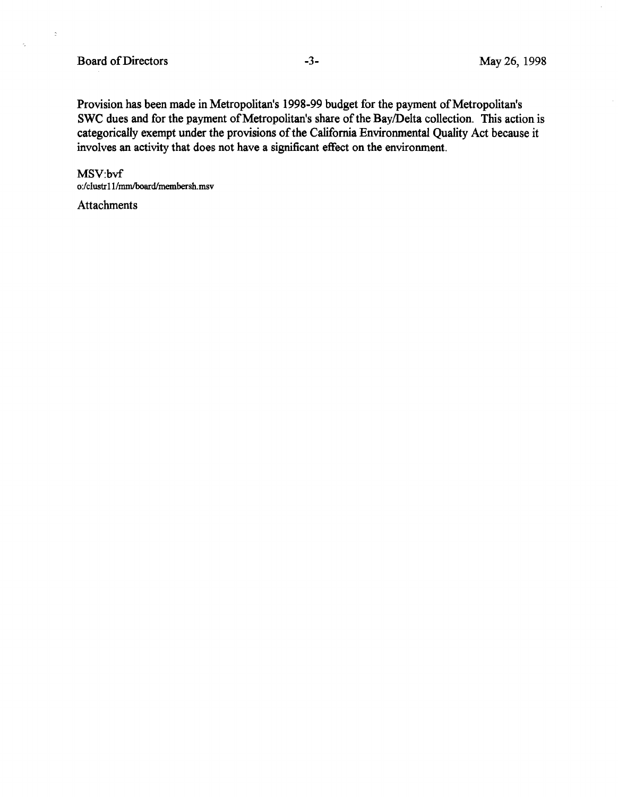$\bar{z}$ 

k.

Provision has been made in Metropolitan's 1998-99 budget for the payment of Metropolitan's SWC dues and for the payment of Metropolitan's share of the Bay/Delta collection. This action is categorically exempt under the provisions of the California Environmental Quality Act because it involves an activity that does not have a significant effect on the environment.

MSV:bvf o:/clustrl l/mmiboard/membexsh.mv

**Attachments**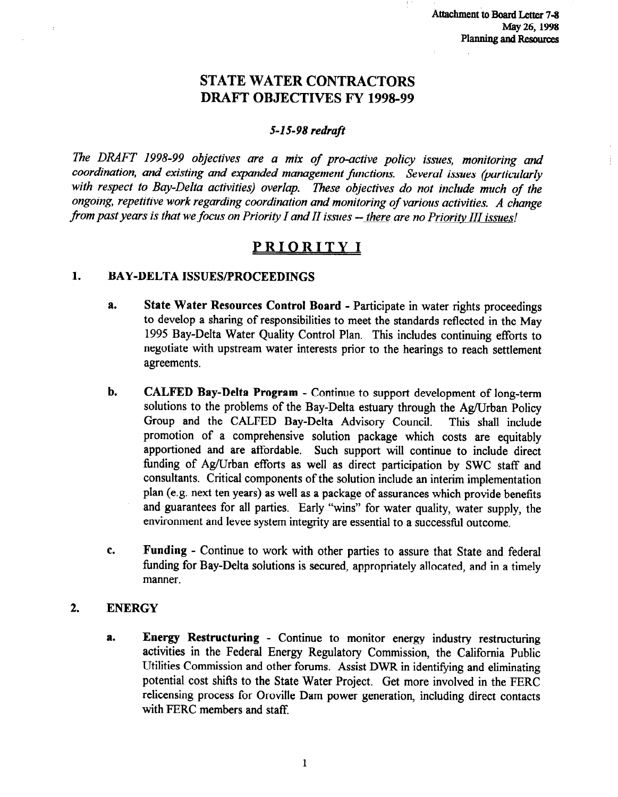# STATE WATER CONTRACTORS DRAFT OBJECTIVES FY 1998-99

#### 5-l S-98 redraft

7he DRAFT 1998-99 objectives are a mix of pro-active policy issues, monitoring and coordination, and existing and expanded management functions. Several issues (particularly with respect to Bay-Delta activities) overlap. These objectives do not include much of the ongoing, repetitive work regarding coordination and monitoring of various activities. A change from past years is that we focus on Priority I and II issues  $-$  there are no Priority III issues!

# PRIORITY I

#### 1. BAY-DELTA ISSUES/PROCEEDINGS

- a. State Water Resources Control Board Participate in water rights proceedings to develop a sharing of responsibilities to meet the standards reflected in the May 1995 Bay-Delta Water Quality Control Plan. This includes continuing efforts to negotiate with upstream water interests prior to the hearings to reach settlement agreements.
- b. CALFED Bay-Delta Program Continue to support development of long-term solutions to the problems of the Bay-Delta estuary through the Ag/Urban Policy Group and the CALFED Bay-Delta Advisory Council. This shall include promotion of a comprehensive solution package which costs are equitably apportioned and are affordable. Such support will continue to include direct tinding of Ag/Urban efforts as well as direct participation by SWC staff and consultants. Critical components of the solution include an interim implementation plan (e.g. next ten years) as well as a package of assurances which provide benefits and guarantees for all parties. Early "wins" for water quality, water supply, the environment and levee system integrity are essential to a successful outcome.
- C. Funding Continue to work with other parties to assure that State and federal funding for Bay-Delta solutions is secured, appropriately allocated, and in a timely manner.

#### 2. ENERGY

a. Energy Restructuring - Continue to monitor energy industry restructuring activities in the Federal Energy Regulatory Commission, the California Public Utilities Commission and other forums. Assist DWR in identifying and eliminating potential cost shifts to the State Water Project. Get more involved in the FERC relicensing process for Oroville Dam power generation, including direct contacts with FERC members and staff.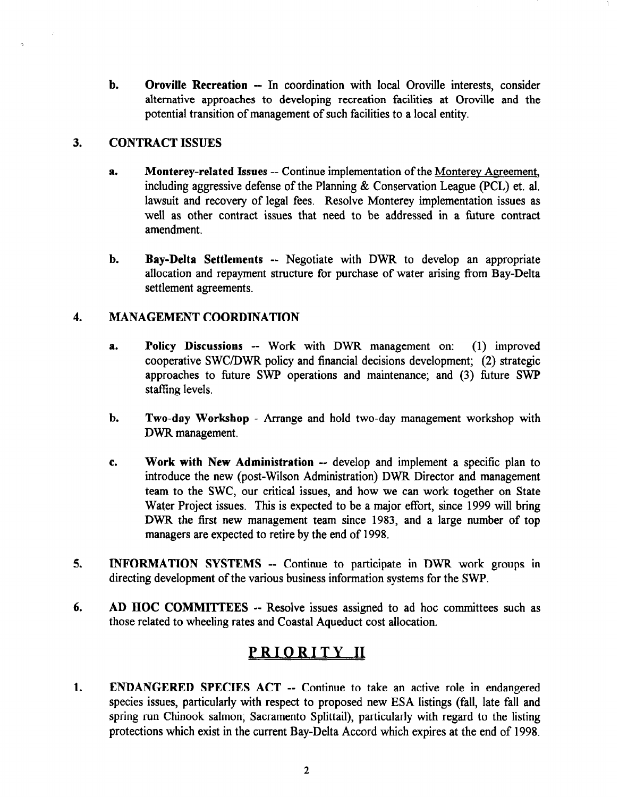b. Oroville Recreation -- In coordination with local Oroville interests, consider alternative approaches to developing recreation facilities at Oroville and the potential transition of management of such facilities to a local entity.

#### 3. CONTRACT ISSUES

- a. Monterey-related Issues -- Continue implementation of the Monterey Agreement, including aggressive defense of the Planning & Conservation League (PCL) et. al. lawsuit and recovery of legal fees. Resolve Monterey implementation issues as well as other contract issues that need to be addressed in a future contract amendment.
- b. Bay-Delta Settlements -- Negotiate with DWR to develop an appropriate allocation and repayment structure for purchase of water arising from Bay-Delta settlement agreements.

#### 4. MANAGEMENT COORDINATION

- a. Policy Discussions -- Work with DWR management on: (1) improved cooperative SWCYDWR policy and financial decisions development; (2) strategic approaches to future SWP operations and maintenance; and (3) future SWP staffing levels.
- b. Two-day Workshop Arrange and hold two-day management workshop with DWR management.
- C. Work with New Administration -- develop and implement a specific plan to **introduce the new Administration**  $\sim$  develop and implement a specific plan to introduce the new (post-Wilson Administration) DWR Director and management team to the SWC, our critical issues, and how we can work together on State Water Project issues. This is expected to be a major effort, since 1999 will bring DWR the first new management team since 1983, and a large number of top managers are expected to retire by the end of 1998.
- $5.5.$  INFORMATION SYSTEMS --  $\mathcal{L}_{\mathcal{A}}$  work groups in DWR work groups in DWR work groups in DWR work groups in DWR work groups in  $\mathcal{L}_{\mathcal{A}}$ INFURMATION SYSTEMS  $-$  Continue to participate in DWR work.
- AD HOC COMMITTEES -- Resolve issues assigned to ad hoc committees such as those related to wheeling rates and Coastal Aqueduct cost allocation.

 $\mathbf{1}$ . **ENDANGERED SPECIES ACT -- Continue to take an active role in endangered** species issues, particularly with respect to proposed new ESA listings (fall, late fall and spring run Chinook salmon; Sacramento Splittail), particularly with regard to the listing protections which exist in the current Bay-Delta Accord which expires at the end of 1998.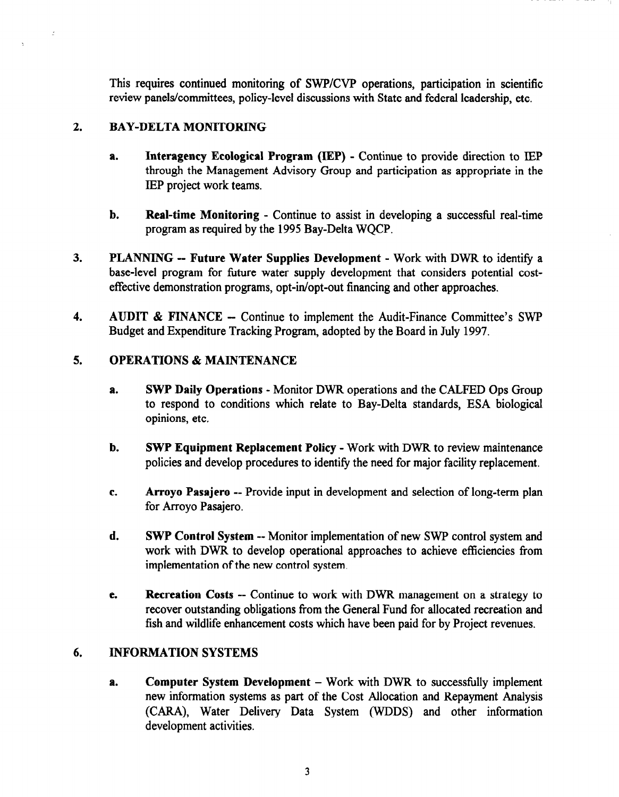This requires continued monitoring of SWP/CVP operations, participation in scientific review panels/committees, policy-level discussions with State and federal leadership, etc.

#### 2. BAY-DELTA MONITORING

J.

- a. Interagency Ecological Program (IEP) Continue to provide direction to lEP through the Management Advisory Group and participation as appropriate in the IEP project work teams.
- b. Real-time Monitoring Continue to assist in developing a successful real-time program as required by the 1995 Bay-Delta WQCP.
- 3. PLANNING -- Future Water Supplies Development Work with DWR to identify a base-level program for future water supply development that considers potential costeffective demonstration programs, opt-in/opt-out financing and other approaches.
- 4. AUDIT & FINANCE Continue to implement the Audit-Finance Committee's SWP Budget and Expenditure Tracking Program, adopted by the Board in July 1997.

#### 5. OPERATIONS & MAINTENANCE

- a. SWP Daily Operations Monitor DWR operations and the CALFED Ops Group to respond to conditions which relate to Bay-Delta standards, ESA biological opinions, etc.
- b. SWP Equipment Replacement Policy Work with DWR to review maintenance  $\mathbf{p}$  by the neurophoric procedure in the need for  $\mathbf{p}$  and  $\mathbf{p}$  and  $\mathbf{p}$  is a set of  $\mathbf{p}$
- C. Arroyo Pasajero -- Provide input in development and selection of long-term plan Arroyo Pasajero -- J
- d. Sweptime  $\mathcal{L}$  sweptime  $\mathcal{L}$  and  $\mathcal{L}$  control system and  $\mathcal{L}$  control system and  $\mathcal{L}$ SWP Control System -- Monitor implementation of new SWP control system and work with DWR to develop operational approaches to achieve efficiencies from implementation of the new control system.
- Recreation Costs -- Continue to work with DWR management on a strategy to e. recover outstanding obligations from the General Fund for allocated recreation and<br>fish and wildlife enhancement costs which have been paid for by Project revenues.

#### 6. **INFORMATION SYSTEMS**

Computer System Development  $-$  Work with DWR to successfully implement a. new information systems as part of the Cost Allocation and Repayment Analysis (CARA), Water Delivery Data System (WDDS) and other information development activities.